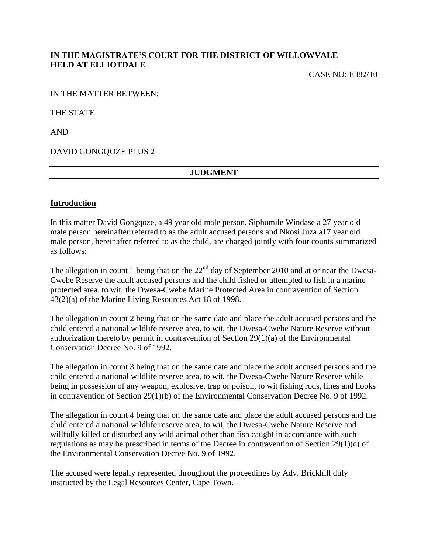## **IN THE MAGISTRATE'S COURT FOR THE DISTRICT OF WILLOWVALE HELD AT ELLIOTDALE**

CASE NO: E382/10

IN THE MATTER BETWEEN:

THE STATE

AND

DAVID GONGQOZE PLUS 2

## **JUDGMENT**

#### **Introduction**

In this matter David Gongqoze, a 49 year old male person, Siphumile Windase a 27 year old male person hereinafter referred to as the adult accused persons and Nkosi Juza a17 year old male person, hereinafter referred to as the child, are charged jointly with four counts summarized as follows:

The allegation in count 1 being that on the  $22<sup>nd</sup>$  day of September 2010 and at or near the Dwesa-Cwebe Reserve the adult accused persons and the child fished or attempted to fish in a marine protected area, to wit, the Dwesa-Cwebe Marine Protected Area in contravention of Section 43(2)(a) of the Marine Living Resources Act 18 of 1998.

The allegation in count 2 being that on the same date and place the adult accused persons and the child entered a national wildlife reserve area, to wit, the Dwesa-Cwebe Nature Reserve without authorization thereto by permit in contravention of Section 29(1)(a) of the Environmental Conservation Decree No. 9 of 1992.

The allegation in count 3 being that on the same date and place the adult accused persons and the child entered a national wildlife reserve area, to wit, the Dwesa-Cwebe Nature Reserve while being in possession of any weapon, explosive, trap or poison, to wit fishing rods, lines and hooks in contravention of Section 29(1)(b) of the Environmental Conservation Decree No. 9 of 1992.

The allegation in count 4 being that on the same date and place the adult accused persons and the child entered a national wildlife reserve area, to wit, the Dwesa-Cwebe Nature Reserve and willfully killed or disturbed any wild animal other than fish caught in accordance with such regulations as may be prescribed in terms of the Decree in contravention of Section 29(1)(c) of the Environmental Conservation Decree No. 9 of 1992.

The accused were legally represented throughout the proceedings by Adv. Brickhill duly instructed by the Legal Resources Center, Cape Town.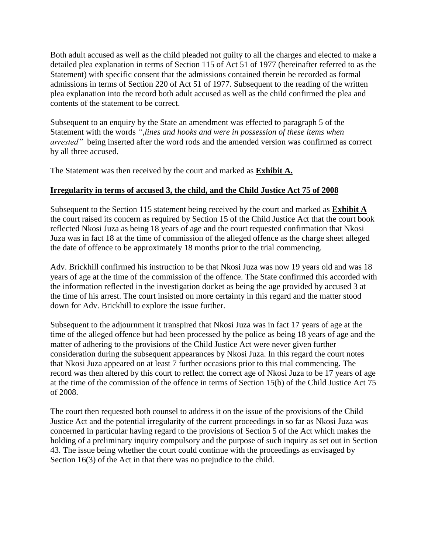Both adult accused as well as the child pleaded not guilty to all the charges and elected to make a detailed plea explanation in terms of Section 115 of Act 51 of 1977 (hereinafter referred to as the Statement) with specific consent that the admissions contained therein be recorded as formal admissions in terms of Section 220 of Act 51 of 1977. Subsequent to the reading of the written plea explanation into the record both adult accused as well as the child confirmed the plea and contents of the statement to be correct.

Subsequent to an enquiry by the State an amendment was effected to paragraph 5 of the Statement with the words *",lines and hooks and were in possession of these items when arrested"* being inserted after the word rods and the amended version was confirmed as correct by all three accused.

The Statement was then received by the court and marked as **Exhibit A.**

# **Irregularity in terms of accused 3, the child, and the Child Justice Act 75 of 2008**

Subsequent to the Section 115 statement being received by the court and marked as **Exhibit A** the court raised its concern as required by Section 15 of the Child Justice Act that the court book reflected Nkosi Juza as being 18 years of age and the court requested confirmation that Nkosi Juza was in fact 18 at the time of commission of the alleged offence as the charge sheet alleged the date of offence to be approximately 18 months prior to the trial commencing.

Adv. Brickhill confirmed his instruction to be that Nkosi Juza was now 19 years old and was 18 years of age at the time of the commission of the offence. The State confirmed this accorded with the information reflected in the investigation docket as being the age provided by accused 3 at the time of his arrest. The court insisted on more certainty in this regard and the matter stood down for Adv. Brickhill to explore the issue further.

Subsequent to the adjournment it transpired that Nkosi Juza was in fact 17 years of age at the time of the alleged offence but had been processed by the police as being 18 years of age and the matter of adhering to the provisions of the Child Justice Act were never given further consideration during the subsequent appearances by Nkosi Juza. In this regard the court notes that Nkosi Juza appeared on at least 7 further occasions prior to this trial commencing. The record was then altered by this court to reflect the correct age of Nkosi Juza to be 17 years of age at the time of the commission of the offence in terms of Section 15(b) of the Child Justice Act 75 of 2008.

The court then requested both counsel to address it on the issue of the provisions of the Child Justice Act and the potential irregularity of the current proceedings in so far as Nkosi Juza was concerned in particular having regard to the provisions of Section 5 of the Act which makes the holding of a preliminary inquiry compulsory and the purpose of such inquiry as set out in Section 43. The issue being whether the court could continue with the proceedings as envisaged by Section 16(3) of the Act in that there was no prejudice to the child.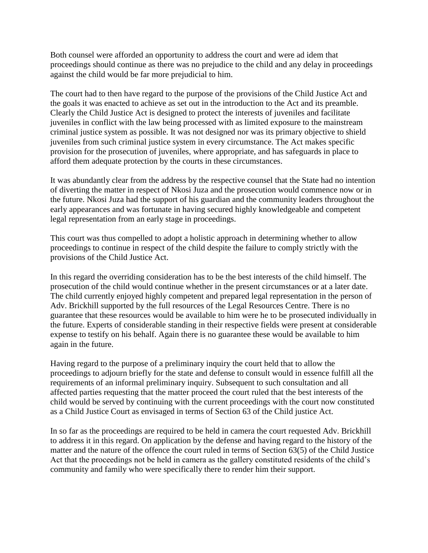Both counsel were afforded an opportunity to address the court and were ad idem that proceedings should continue as there was no prejudice to the child and any delay in proceedings against the child would be far more prejudicial to him.

The court had to then have regard to the purpose of the provisions of the Child Justice Act and the goals it was enacted to achieve as set out in the introduction to the Act and its preamble. Clearly the Child Justice Act is designed to protect the interests of juveniles and facilitate juveniles in conflict with the law being processed with as limited exposure to the mainstream criminal justice system as possible. It was not designed nor was its primary objective to shield juveniles from such criminal justice system in every circumstance. The Act makes specific provision for the prosecution of juveniles, where appropriate, and has safeguards in place to afford them adequate protection by the courts in these circumstances.

It was abundantly clear from the address by the respective counsel that the State had no intention of diverting the matter in respect of Nkosi Juza and the prosecution would commence now or in the future. Nkosi Juza had the support of his guardian and the community leaders throughout the early appearances and was fortunate in having secured highly knowledgeable and competent legal representation from an early stage in proceedings.

This court was thus compelled to adopt a holistic approach in determining whether to allow proceedings to continue in respect of the child despite the failure to comply strictly with the provisions of the Child Justice Act.

In this regard the overriding consideration has to be the best interests of the child himself. The prosecution of the child would continue whether in the present circumstances or at a later date. The child currently enjoyed highly competent and prepared legal representation in the person of Adv. Brickhill supported by the full resources of the Legal Resources Centre. There is no guarantee that these resources would be available to him were he to be prosecuted individually in the future. Experts of considerable standing in their respective fields were present at considerable expense to testify on his behalf. Again there is no guarantee these would be available to him again in the future.

Having regard to the purpose of a preliminary inquiry the court held that to allow the proceedings to adjourn briefly for the state and defense to consult would in essence fulfill all the requirements of an informal preliminary inquiry. Subsequent to such consultation and all affected parties requesting that the matter proceed the court ruled that the best interests of the child would be served by continuing with the current proceedings with the court now constituted as a Child Justice Court as envisaged in terms of Section 63 of the Child justice Act.

In so far as the proceedings are required to be held in camera the court requested Adv. Brickhill to address it in this regard. On application by the defense and having regard to the history of the matter and the nature of the offence the court ruled in terms of Section 63(5) of the Child Justice Act that the proceedings not be held in camera as the gallery constituted residents of the child's community and family who were specifically there to render him their support.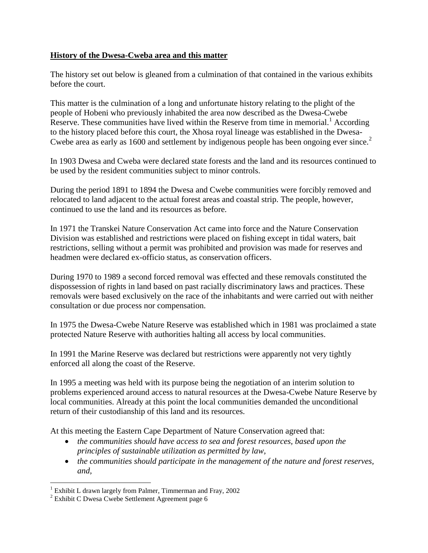#### **History of the Dwesa-Cweba area and this matter**

The history set out below is gleaned from a culmination of that contained in the various exhibits before the court.

This matter is the culmination of a long and unfortunate history relating to the plight of the people of Hobeni who previously inhabited the area now described as the Dwesa-Cwebe Reserve. These communities have lived within the Reserve from time in memorial.<sup>1</sup> According to the history placed before this court, the Xhosa royal lineage was established in the Dwesa-Cwebe area as early as 1600 and settlement by indigenous people has been ongoing ever since.<sup>2</sup>

In 1903 Dwesa and Cweba were declared state forests and the land and its resources continued to be used by the resident communities subject to minor controls.

During the period 1891 to 1894 the Dwesa and Cwebe communities were forcibly removed and relocated to land adjacent to the actual forest areas and coastal strip. The people, however, continued to use the land and its resources as before.

In 1971 the Transkei Nature Conservation Act came into force and the Nature Conservation Division was established and restrictions were placed on fishing except in tidal waters, bait restrictions, selling without a permit was prohibited and provision was made for reserves and headmen were declared ex-officio status, as conservation officers.

During 1970 to 1989 a second forced removal was effected and these removals constituted the dispossession of rights in land based on past racially discriminatory laws and practices. These removals were based exclusively on the race of the inhabitants and were carried out with neither consultation or due process nor compensation.

In 1975 the Dwesa-Cwebe Nature Reserve was established which in 1981 was proclaimed a state protected Nature Reserve with authorities halting all access by local communities.

In 1991 the Marine Reserve was declared but restrictions were apparently not very tightly enforced all along the coast of the Reserve.

In 1995 a meeting was held with its purpose being the negotiation of an interim solution to problems experienced around access to natural resources at the Dwesa-Cwebe Nature Reserve by local communities. Already at this point the local communities demanded the unconditional return of their custodianship of this land and its resources.

At this meeting the Eastern Cape Department of Nature Conservation agreed that:

- *the communities should have access to sea and forest resources, based upon the principles of sustainable utilization as permitted by law,*
- *the communities should participate in the management of the nature and forest reserves, and,*

<sup>&</sup>lt;sup>1</sup> Exhibit L drawn largely from Palmer, Timmerman and Fray, 2002

 $2$  Exhibit C Dwesa Cwebe Settlement Agreement page 6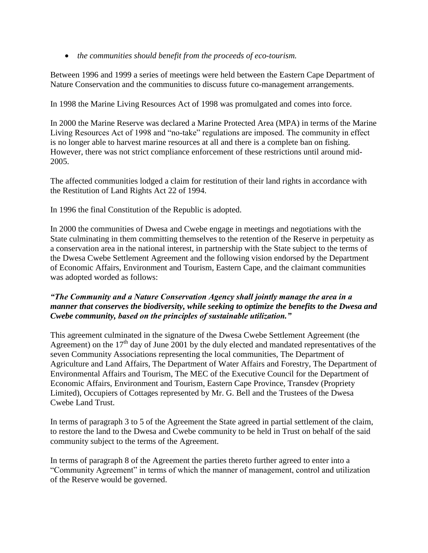*the communities should benefit from the proceeds of eco-tourism.*

Between 1996 and 1999 a series of meetings were held between the Eastern Cape Department of Nature Conservation and the communities to discuss future co-management arrangements.

In 1998 the Marine Living Resources Act of 1998 was promulgated and comes into force.

In 2000 the Marine Reserve was declared a Marine Protected Area (MPA) in terms of the Marine Living Resources Act of 1998 and "no-take" regulations are imposed. The community in effect is no longer able to harvest marine resources at all and there is a complete ban on fishing. However, there was not strict compliance enforcement of these restrictions until around mid-2005.

The affected communities lodged a claim for restitution of their land rights in accordance with the Restitution of Land Rights Act 22 of 1994.

In 1996 the final Constitution of the Republic is adopted.

In 2000 the communities of Dwesa and Cwebe engage in meetings and negotiations with the State culminating in them committing themselves to the retention of the Reserve in perpetuity as a conservation area in the national interest, in partnership with the State subject to the terms of the Dwesa Cwebe Settlement Agreement and the following vision endorsed by the Department of Economic Affairs, Environment and Tourism, Eastern Cape, and the claimant communities was adopted worded as follows:

## *"The Community and a Nature Conservation Agency shall jointly manage the area in a manner that conserves the biodiversity, while seeking to optimize the benefits to the Dwesa and Cwebe community, based on the principles of sustainable utilization."*

This agreement culminated in the signature of the Dwesa Cwebe Settlement Agreement (the Agreement) on the  $17<sup>th</sup>$  day of June 2001 by the duly elected and mandated representatives of the seven Community Associations representing the local communities, The Department of Agriculture and Land Affairs, The Department of Water Affairs and Forestry, The Department of Environmental Affairs and Tourism, The MEC of the Executive Council for the Department of Economic Affairs, Environment and Tourism, Eastern Cape Province, Transdev (Propriety Limited), Occupiers of Cottages represented by Mr. G. Bell and the Trustees of the Dwesa Cwebe Land Trust.

In terms of paragraph 3 to 5 of the Agreement the State agreed in partial settlement of the claim, to restore the land to the Dwesa and Cwebe community to be held in Trust on behalf of the said community subject to the terms of the Agreement.

In terms of paragraph 8 of the Agreement the parties thereto further agreed to enter into a "Community Agreement" in terms of which the manner of management, control and utilization of the Reserve would be governed.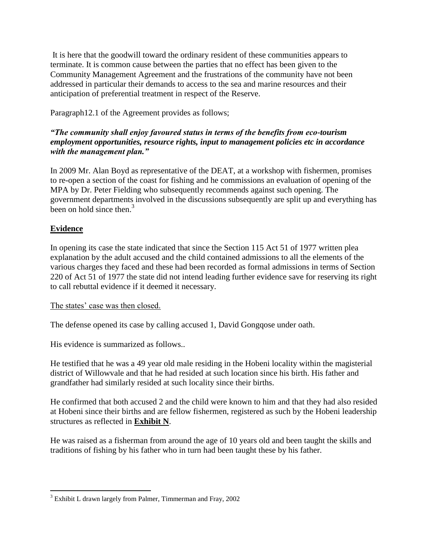It is here that the goodwill toward the ordinary resident of these communities appears to terminate. It is common cause between the parties that no effect has been given to the Community Management Agreement and the frustrations of the community have not been addressed in particular their demands to access to the sea and marine resources and their anticipation of preferential treatment in respect of the Reserve.

Paragraph12.1 of the Agreement provides as follows;

# *"The community shall enjoy favoured status in terms of the benefits from eco-tourism employment opportunities, resource rights, input to management policies etc in accordance with the management plan."*

In 2009 Mr. Alan Boyd as representative of the DEAT, at a workshop with fishermen, promises to re-open a section of the coast for fishing and he commissions an evaluation of opening of the MPA by Dr. Peter Fielding who subsequently recommends against such opening. The government departments involved in the discussions subsequently are split up and everything has been on hold since then. $3$ 

# **Evidence**

 $\overline{a}$ 

In opening its case the state indicated that since the Section 115 Act 51 of 1977 written plea explanation by the adult accused and the child contained admissions to all the elements of the various charges they faced and these had been recorded as formal admissions in terms of Section 220 of Act 51 of 1977 the state did not intend leading further evidence save for reserving its right to call rebuttal evidence if it deemed it necessary.

## The states' case was then closed.

The defense opened its case by calling accused 1, David Gongqose under oath.

His evidence is summarized as follows..

He testified that he was a 49 year old male residing in the Hobeni locality within the magisterial district of Willowvale and that he had resided at such location since his birth. His father and grandfather had similarly resided at such locality since their births.

He confirmed that both accused 2 and the child were known to him and that they had also resided at Hobeni since their births and are fellow fishermen, registered as such by the Hobeni leadership structures as reflected in **Exhibit N**.

He was raised as a fisherman from around the age of 10 years old and been taught the skills and traditions of fishing by his father who in turn had been taught these by his father.

<sup>&</sup>lt;sup>3</sup> Exhibit L drawn largely from Palmer, Timmerman and Fray, 2002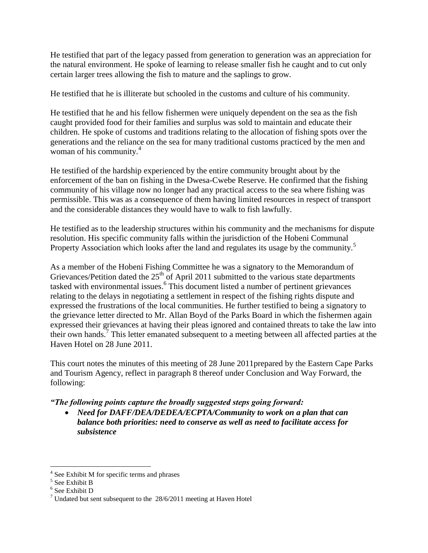He testified that part of the legacy passed from generation to generation was an appreciation for the natural environment. He spoke of learning to release smaller fish he caught and to cut only certain larger trees allowing the fish to mature and the saplings to grow.

He testified that he is illiterate but schooled in the customs and culture of his community.

He testified that he and his fellow fishermen were uniquely dependent on the sea as the fish caught provided food for their families and surplus was sold to maintain and educate their children. He spoke of customs and traditions relating to the allocation of fishing spots over the generations and the reliance on the sea for many traditional customs practiced by the men and woman of his community.<sup>4</sup>

He testified of the hardship experienced by the entire community brought about by the enforcement of the ban on fishing in the Dwesa-Cwebe Reserve. He confirmed that the fishing community of his village now no longer had any practical access to the sea where fishing was permissible. This was as a consequence of them having limited resources in respect of transport and the considerable distances they would have to walk to fish lawfully.

He testified as to the leadership structures within his community and the mechanisms for dispute resolution. His specific community falls within the jurisdiction of the Hobeni Communal Property Association which looks after the land and regulates its usage by the community.<sup>5</sup>

As a member of the Hobeni Fishing Committee he was a signatory to the Memorandum of Grievances/Petition dated the  $25<sup>th</sup>$  of April 2011 submitted to the various state departments tasked with environmental issues.<sup>6</sup> This document listed a number of pertinent grievances relating to the delays in negotiating a settlement in respect of the fishing rights dispute and expressed the frustrations of the local communities. He further testified to being a signatory to the grievance letter directed to Mr. Allan Boyd of the Parks Board in which the fishermen again expressed their grievances at having their pleas ignored and contained threats to take the law into their own hands.<sup>7</sup> This letter emanated subsequent to a meeting between all affected parties at the Haven Hotel on 28 June 2011.

This court notes the minutes of this meeting of 28 June 2011prepared by the Eastern Cape Parks and Tourism Agency, reflect in paragraph 8 thereof under Conclusion and Way Forward, the following:

*"The following points capture the broadly suggested steps going forward:*

 *Need for DAFF/DEA/DEDEA/ECPTA/Community to work on a plan that can balance both priorities: need to conserve as well as need to facilitate access for subsistence*

<sup>&</sup>lt;sup>4</sup> See Exhibit M for specific terms and phrases<br><sup>5</sup> See Exhibit B

<sup>6</sup> See Exhibit D

 $7$  Undated but sent subsequent to the  $28/6/2011$  meeting at Haven Hotel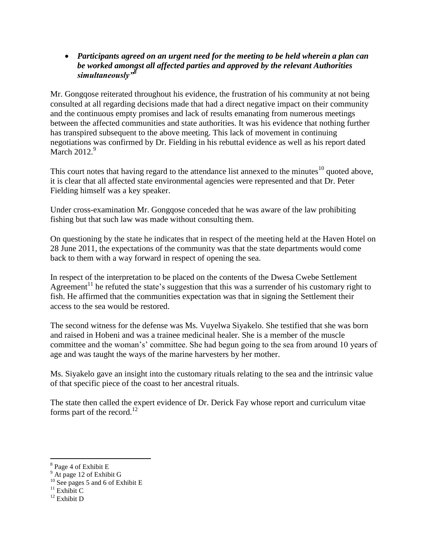*Participants agreed on an urgent need for the meeting to be held wherein a plan can be worked amongst all affected parties and approved by the relevant Authorities simultaneously"<sup>8</sup>*

Mr. Gongqose reiterated throughout his evidence, the frustration of his community at not being consulted at all regarding decisions made that had a direct negative impact on their community and the continuous empty promises and lack of results emanating from numerous meetings between the affected communities and state authorities. It was his evidence that nothing further has transpired subsequent to the above meeting. This lack of movement in continuing negotiations was confirmed by Dr. Fielding in his rebuttal evidence as well as his report dated March  $2012.<sup>9</sup>$ 

This court notes that having regard to the attendance list annexed to the minutes $10$  quoted above. it is clear that all affected state environmental agencies were represented and that Dr. Peter Fielding himself was a key speaker.

Under cross-examination Mr. Gongqose conceded that he was aware of the law prohibiting fishing but that such law was made without consulting them.

On questioning by the state he indicates that in respect of the meeting held at the Haven Hotel on 28 June 2011, the expectations of the community was that the state departments would come back to them with a way forward in respect of opening the sea.

In respect of the interpretation to be placed on the contents of the Dwesa Cwebe Settlement Agreement<sup>11</sup> he refuted the state's suggestion that this was a surrender of his customary right to fish. He affirmed that the communities expectation was that in signing the Settlement their access to the sea would be restored.

The second witness for the defense was Ms. Vuyelwa Siyakelo. She testified that she was born and raised in Hobeni and was a trainee medicinal healer. She is a member of the muscle committee and the woman's' committee. She had begun going to the sea from around 10 years of age and was taught the ways of the marine harvesters by her mother.

Ms. Siyakelo gave an insight into the customary rituals relating to the sea and the intrinsic value of that specific piece of the coast to her ancestral rituals.

The state then called the expert evidence of Dr. Derick Fay whose report and curriculum vitae forms part of the record.<sup>12</sup>

<sup>&</sup>lt;sup>8</sup> Page 4 of Exhibit E

<sup>&</sup>lt;sup>9</sup> At page 12 of Exhibit G

<sup>&</sup>lt;sup>10</sup> See pages 5 and 6 of Exhibit E

 $11$  Exhibit C

 $12$  Exhibit D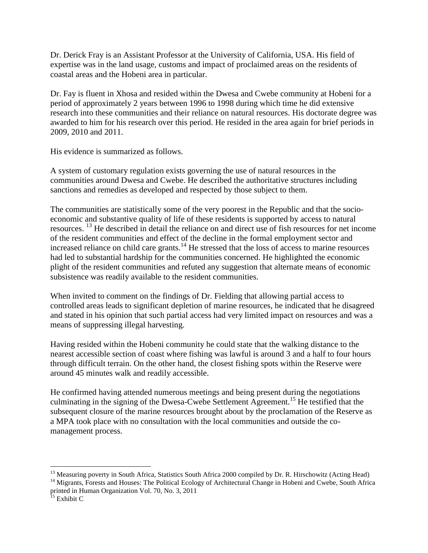Dr. Derick Fray is an Assistant Professor at the University of California, USA. His field of expertise was in the land usage, customs and impact of proclaimed areas on the residents of coastal areas and the Hobeni area in particular.

Dr. Fay is fluent in Xhosa and resided within the Dwesa and Cwebe community at Hobeni for a period of approximately 2 years between 1996 to 1998 during which time he did extensive research into these communities and their reliance on natural resources. His doctorate degree was awarded to him for his research over this period. He resided in the area again for brief periods in 2009, 2010 and 2011.

His evidence is summarized as follows.

A system of customary regulation exists governing the use of natural resources in the communities around Dwesa and Cwebe. He described the authoritative structures including sanctions and remedies as developed and respected by those subject to them.

The communities are statistically some of the very poorest in the Republic and that the socioeconomic and substantive quality of life of these residents is supported by access to natural resources. <sup>13</sup> He described in detail the reliance on and direct use of fish resources for net income of the resident communities and effect of the decline in the formal employment sector and increased reliance on child care grants.<sup>14</sup> He stressed that the loss of access to marine resources had led to substantial hardship for the communities concerned. He highlighted the economic plight of the resident communities and refuted any suggestion that alternate means of economic subsistence was readily available to the resident communities.

When invited to comment on the findings of Dr. Fielding that allowing partial access to controlled areas leads to significant depletion of marine resources, he indicated that he disagreed and stated in his opinion that such partial access had very limited impact on resources and was a means of suppressing illegal harvesting.

Having resided within the Hobeni community he could state that the walking distance to the nearest accessible section of coast where fishing was lawful is around 3 and a half to four hours through difficult terrain. On the other hand, the closest fishing spots within the Reserve were around 45 minutes walk and readily accessible.

He confirmed having attended numerous meetings and being present during the negotiations culminating in the signing of the Dwesa-Cwebe Settlement Agreement.<sup>15</sup> He testified that the subsequent closure of the marine resources brought about by the proclamation of the Reserve as a MPA took place with no consultation with the local communities and outside the comanagement process.

<sup>14</sup> Migrants, Forests and Houses: The Political Ecology of Architectural Change in Hobeni and Cwebe, South Africa printed in Human Organization Vol. 70, No. 3, 2011

<sup>&</sup>lt;sup>13</sup> Measuring poverty in South Africa, Statistics South Africa 2000 compiled by Dr. R. Hirschowitz (Acting Head)

<sup>&</sup>lt;sup>15</sup> Exhibit C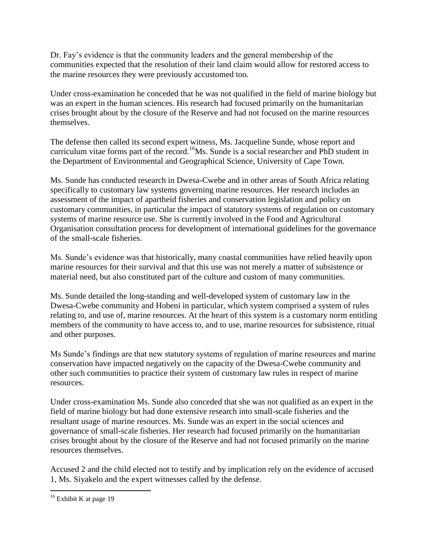Dr. Fay's evidence is that the community leaders and the general membership of the communities expected that the resolution of their land claim would allow for restored access to the marine resources they were previously accustomed too.

Under cross-examination he conceded that he was not qualified in the field of marine biology but was an expert in the human sciences. His research had focused primarily on the humanitarian crises brought about by the closure of the Reserve and had not focused on the marine resources themselves.

The defense then called its second expert witness, Ms. Jacqueline Sunde, whose report and curriculum vitae forms part of the record.<sup>16</sup>Ms. Sunde is a social researcher and PhD student in the Department of Environmental and Geographical Science, University of Cape Town.

Ms. Sunde has conducted research in Dwesa-Cwebe and in other areas of South Africa relating specifically to customary law systems governing marine resources. Her research includes an assessment of the impact of apartheid fisheries and conservation legislation and policy on customary communities, in particular the impact of statutory systems of regulation on customary systems of marine resource use. She is currently involved in the Food and Agricultural Organisation consultation process for development of international guidelines for the governance of the small-scale fisheries.

Ms. Sunde's evidence was that historically, many coastal communities have relied heavily upon marine resources for their survival and that this use was not merely a matter of subsistence or material need, but also constituted part of the culture and custom of many communities.

Ms. Sunde detailed the long-standing and well-developed system of customary law in the Dwesa-Cwebe community and Hobeni in particular, which system comprised a system of rules relating to, and use of, marine resources. At the heart of this system is a customary norm entitling members of the community to have access to, and to use, marine resources for subsistence, ritual and other purposes.

Ms Sunde's findings are that new statutory systems of regulation of marine resources and marine conservation have impacted negatively on the capacity of the Dwesa-Cwebe community and other such communities to practice their system of customary law rules in respect of marine resources.

Under cross-examination Ms. Sunde also conceded that she was not qualified as an expert in the field of marine biology but had done extensive research into small-scale fisheries and the resultant usage of marine resources. Ms. Sunde was an expert in the social sciences and governance of small-scale fisheries. Her research had focused primarily on the humanitarian crises brought about by the closure of the Reserve and had not focused primarily on the marine resources themselves.

Accused 2 and the child elected not to testify and by implication rely on the evidence of accused 1, Ms. Siyakelo and the expert witnesses called by the defense.

 $\overline{a}$  $16$  Exhibit K at page 19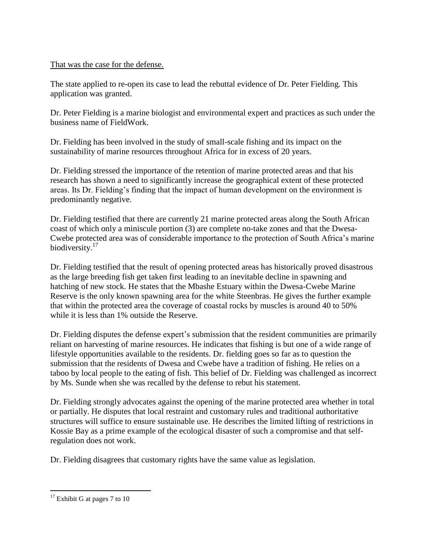## That was the case for the defense.

The state applied to re-open its case to lead the rebuttal evidence of Dr. Peter Fielding. This application was granted.

Dr. Peter Fielding is a marine biologist and environmental expert and practices as such under the business name of FieldWork.

Dr. Fielding has been involved in the study of small-scale fishing and its impact on the sustainability of marine resources throughout Africa for in excess of 20 years.

Dr. Fielding stressed the importance of the retention of marine protected areas and that his research has shown a need to significantly increase the geographical extent of these protected areas. Its Dr. Fielding's finding that the impact of human development on the environment is predominantly negative.

Dr. Fielding testified that there are currently 21 marine protected areas along the South African coast of which only a miniscule portion (3) are complete no-take zones and that the Dwesa-Cwebe protected area was of considerable importance to the protection of South Africa's marine biodiversity.<sup>17</sup>

Dr. Fielding testified that the result of opening protected areas has historically proved disastrous as the large breeding fish get taken first leading to an inevitable decline in spawning and hatching of new stock. He states that the Mbashe Estuary within the Dwesa-Cwebe Marine Reserve is the only known spawning area for the white Steenbras. He gives the further example that within the protected area the coverage of coastal rocks by muscles is around 40 to 50% while it is less than 1% outside the Reserve.

Dr. Fielding disputes the defense expert's submission that the resident communities are primarily reliant on harvesting of marine resources. He indicates that fishing is but one of a wide range of lifestyle opportunities available to the residents. Dr. fielding goes so far as to question the submission that the residents of Dwesa and Cwebe have a tradition of fishing. He relies on a taboo by local people to the eating of fish. This belief of Dr. Fielding was challenged as incorrect by Ms. Sunde when she was recalled by the defense to rebut his statement.

Dr. Fielding strongly advocates against the opening of the marine protected area whether in total or partially. He disputes that local restraint and customary rules and traditional authoritative structures will suffice to ensure sustainable use. He describes the limited lifting of restrictions in Kossie Bay as a prime example of the ecological disaster of such a compromise and that selfregulation does not work.

Dr. Fielding disagrees that customary rights have the same value as legislation.

 $17$  Exhibit G at pages 7 to 10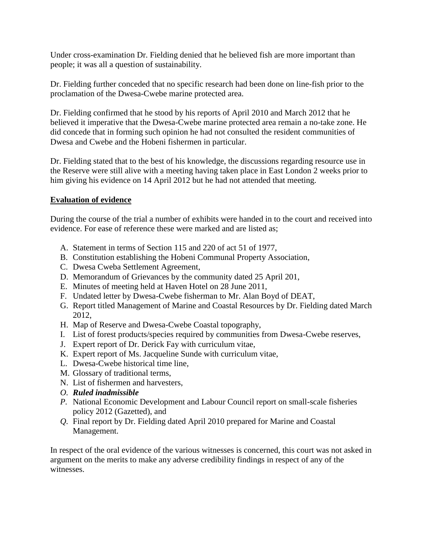Under cross-examination Dr. Fielding denied that he believed fish are more important than people; it was all a question of sustainability.

Dr. Fielding further conceded that no specific research had been done on line-fish prior to the proclamation of the Dwesa-Cwebe marine protected area.

Dr. Fielding confirmed that he stood by his reports of April 2010 and March 2012 that he believed it imperative that the Dwesa-Cwebe marine protected area remain a no-take zone. He did concede that in forming such opinion he had not consulted the resident communities of Dwesa and Cwebe and the Hobeni fishermen in particular.

Dr. Fielding stated that to the best of his knowledge, the discussions regarding resource use in the Reserve were still alive with a meeting having taken place in East London 2 weeks prior to him giving his evidence on 14 April 2012 but he had not attended that meeting.

#### **Evaluation of evidence**

During the course of the trial a number of exhibits were handed in to the court and received into evidence. For ease of reference these were marked and are listed as;

- A. Statement in terms of Section 115 and 220 of act 51 of 1977,
- B. Constitution establishing the Hobeni Communal Property Association,
- C. Dwesa Cweba Settlement Agreement,
- D. Memorandum of Grievances by the community dated 25 April 201,
- E. Minutes of meeting held at Haven Hotel on 28 June 2011,
- F. Undated letter by Dwesa-Cwebe fisherman to Mr. Alan Boyd of DEAT,
- G. Report titled Management of Marine and Coastal Resources by Dr. Fielding dated March 2012,
- H. Map of Reserve and Dwesa-Cwebe Coastal topography,
- I. List of forest products/species required by communities from Dwesa-Cwebe reserves,
- J. Expert report of Dr. Derick Fay with curriculum vitae,
- K. Expert report of Ms. Jacqueline Sunde with curriculum vitae,
- L. Dwesa-Cwebe historical time line,
- M. Glossary of traditional terms,
- N. List of fishermen and harvesters,
- *O. Ruled inadmissible*
- *P.* National Economic Development and Labour Council report on small-scale fisheries policy 2012 (Gazetted), and
- *Q.* Final report by Dr. Fielding dated April 2010 prepared for Marine and Coastal Management.

In respect of the oral evidence of the various witnesses is concerned, this court was not asked in argument on the merits to make any adverse credibility findings in respect of any of the witnesses.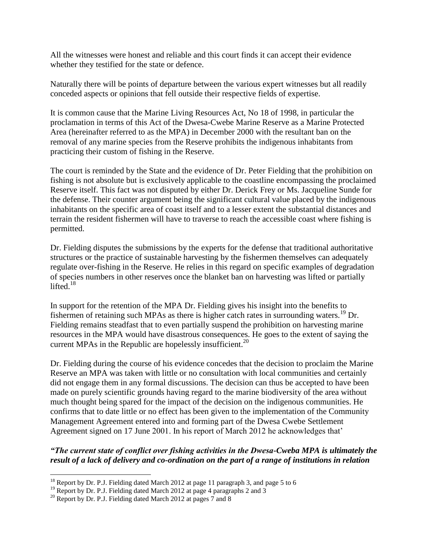All the witnesses were honest and reliable and this court finds it can accept their evidence whether they testified for the state or defence.

Naturally there will be points of departure between the various expert witnesses but all readily conceded aspects or opinions that fell outside their respective fields of expertise.

It is common cause that the Marine Living Resources Act, No 18 of 1998, in particular the proclamation in terms of this Act of the Dwesa-Cwebe Marine Reserve as a Marine Protected Area (hereinafter referred to as the MPA) in December 2000 with the resultant ban on the removal of any marine species from the Reserve prohibits the indigenous inhabitants from practicing their custom of fishing in the Reserve.

The court is reminded by the State and the evidence of Dr. Peter Fielding that the prohibition on fishing is not absolute but is exclusively applicable to the coastline encompassing the proclaimed Reserve itself. This fact was not disputed by either Dr. Derick Frey or Ms. Jacqueline Sunde for the defense. Their counter argument being the significant cultural value placed by the indigenous inhabitants on the specific area of coast itself and to a lesser extent the substantial distances and terrain the resident fishermen will have to traverse to reach the accessible coast where fishing is permitted.

Dr. Fielding disputes the submissions by the experts for the defense that traditional authoritative structures or the practice of sustainable harvesting by the fishermen themselves can adequately regulate over-fishing in the Reserve. He relies in this regard on specific examples of degradation of species numbers in other reserves once the blanket ban on harvesting was lifted or partially lifted $18$ 

In support for the retention of the MPA Dr. Fielding gives his insight into the benefits to fishermen of retaining such MPAs as there is higher catch rates in surrounding waters.<sup>19</sup> Dr. Fielding remains steadfast that to even partially suspend the prohibition on harvesting marine resources in the MPA would have disastrous consequences. He goes to the extent of saying the current MPAs in the Republic are hopelessly insufficient.<sup>20</sup>

Dr. Fielding during the course of his evidence concedes that the decision to proclaim the Marine Reserve an MPA was taken with little or no consultation with local communities and certainly did not engage them in any formal discussions. The decision can thus be accepted to have been made on purely scientific grounds having regard to the marine biodiversity of the area without much thought being spared for the impact of the decision on the indigenous communities. He confirms that to date little or no effect has been given to the implementation of the Community Management Agreement entered into and forming part of the Dwesa Cwebe Settlement Agreement signed on 17 June 2001. In his report of March 2012 he acknowledges that'

*"The current state of conflict over fishing activities in the Dwesa-Cweba MPA is ultimately the result of a lack of delivery and co-ordination on the part of a range of institutions in relation* 

<sup>&</sup>lt;sup>18</sup> Report by Dr. P.J. Fielding dated March 2012 at page 11 paragraph 3, and page 5 to 6

<sup>&</sup>lt;sup>19</sup> Report by Dr. P.J. Fielding dated March 2012 at page 4 paragraphs 2 and 3

 $^{20}$  Report by Dr. P.J. Fielding dated March 2012 at pages 7 and 8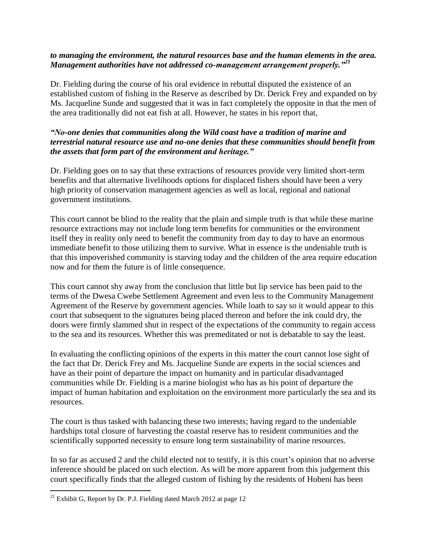#### *to managing the environment, the natural resources base and the human elements in the area. Management authorities have not addressed co-management arrangement properly."<sup>21</sup>*

Dr. Fielding during the course of his oral evidence in rebuttal disputed the existence of an established custom of fishing in the Reserve as described by Dr. Derick Frey and expanded on by Ms. Jacqueline Sunde and suggested that it was in fact completely the opposite in that the men of the area traditionally did not eat fish at all. However, he states in his report that,

## *"No-one denies that communities along the Wild coast have a tradition of marine and terrestrial natural resource use and no-one denies that these communities should benefit from the assets that form part of the environment and heritage."*

Dr. Fielding goes on to say that these extractions of resources provide very limited short-term benefits and that alternative livelihoods options for displaced fishers should have been a very high priority of conservation management agencies as well as local, regional and national government institutions.

This court cannot be blind to the reality that the plain and simple truth is that while these marine resource extractions may not include long term benefits for communities or the environment itself they in reality only need to benefit the community from day to day to have an enormous immediate benefit to those utilizing them to survive. What in essence is the undeniable truth is that this impoverished community is starving today and the children of the area require education now and for them the future is of little consequence.

This court cannot shy away from the conclusion that little but lip service has been paid to the terms of the Dwesa Cwebe Settlement Agreement and even less to the Community Management Agreement of the Reserve by government agencies. While loath to say so it would appear to this court that subsequent to the signatures being placed thereon and before the ink could dry, the doors were firmly slammed shut in respect of the expectations of the community to regain access to the sea and its resources. Whether this was premeditated or not is debatable to say the least.

In evaluating the conflicting opinions of the experts in this matter the court cannot lose sight of the fact that Dr. Derick Frey and Ms. Jacqueline Sunde are experts in the social sciences and have as their point of departure the impact on humanity and in particular disadvantaged communities while Dr. Fielding is a marine biologist who has as his point of departure the impact of human habitation and exploitation on the environment more particularly the sea and its resources.

The court is thus tasked with balancing these two interests; having regard to the undeniable hardships total closure of harvesting the coastal reserve has to resident communities and the scientifically supported necessity to ensure long term sustainability of marine resources.

In so far as accused 2 and the child elected not to testify, it is this court's opinion that no adverse inference should be placed on such election. As will be more apparent from this judgement this court specifically finds that the alleged custom of fishing by the residents of Hobeni has been

<sup>&</sup>lt;sup>21</sup> Exhibit G, Report by Dr. P.J. Fielding dated March 2012 at page 12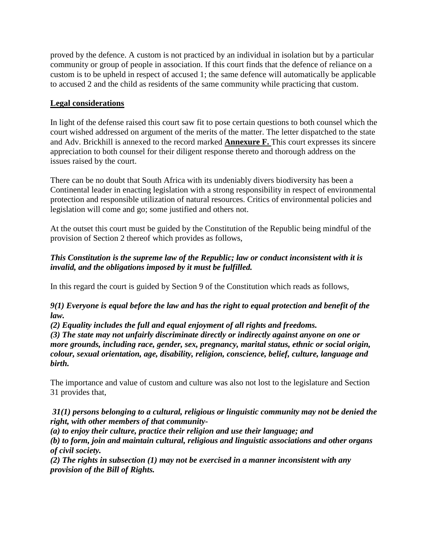proved by the defence. A custom is not practiced by an individual in isolation but by a particular community or group of people in association. If this court finds that the defence of reliance on a custom is to be upheld in respect of accused 1; the same defence will automatically be applicable to accused 2 and the child as residents of the same community while practicing that custom.

# **Legal considerations**

In light of the defense raised this court saw fit to pose certain questions to both counsel which the court wished addressed on argument of the merits of the matter. The letter dispatched to the state and Adv. Brickhill is annexed to the record marked **Annexure F.** This court expresses its sincere appreciation to both counsel for their diligent response thereto and thorough address on the issues raised by the court.

There can be no doubt that South Africa with its undeniably divers biodiversity has been a Continental leader in enacting legislation with a strong responsibility in respect of environmental protection and responsible utilization of natural resources. Critics of environmental policies and legislation will come and go; some justified and others not.

At the outset this court must be guided by the Constitution of the Republic being mindful of the provision of Section 2 thereof which provides as follows,

# *This Constitution is the supreme law of the Republic; law or conduct inconsistent with it is invalid, and the obligations imposed by it must be fulfilled.*

In this regard the court is guided by Section 9 of the Constitution which reads as follows,

## *9(1) Everyone is equal before the law and has the right to equal protection and benefit of the law.*

*(2) Equality includes the full and equal enjoyment of all rights and freedoms.*

*(3) The state may not unfairly discriminate directly or indirectly against anyone on one or more grounds, including race, gender, sex, pregnancy, marital status, ethnic or social origin, colour, sexual orientation, age, disability, religion, conscience, belief, culture, language and birth.*

The importance and value of custom and culture was also not lost to the legislature and Section 31 provides that,

*31(1) persons belonging to a cultural, religious or linguistic community may not be denied the right, with other members of that community-*

*(a) to enjoy their culture, practice their religion and use their language; and*

*(b) to form, join and maintain cultural, religious and linguistic associations and other organs of civil society.*

*(2) The rights in subsection (1) may not be exercised in a manner inconsistent with any provision of the Bill of Rights.*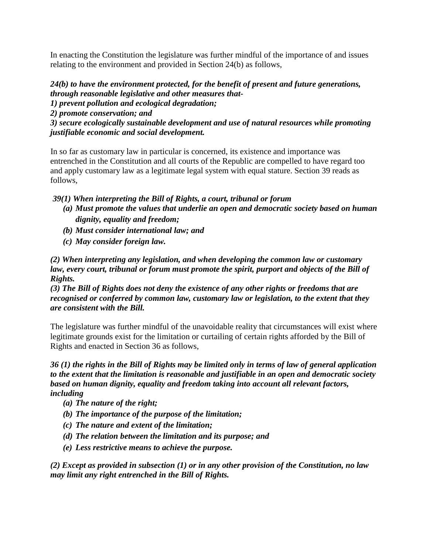In enacting the Constitution the legislature was further mindful of the importance of and issues relating to the environment and provided in Section 24(b) as follows,

*24(b) to have the environment protected, for the benefit of present and future generations, through reasonable legislative and other measures that-1) prevent pollution and ecological degradation; 2) promote conservation; and 3) secure ecologically sustainable development and use of natural resources while promoting justifiable economic and social development.*

 In so far as customary law in particular is concerned, its existence and importance was entrenched in the Constitution and all courts of the Republic are compelled to have regard too and apply customary law as a legitimate legal system with equal stature. Section 39 reads as follows,

*39(1) When interpreting the Bill of Rights, a court, tribunal or forum*

- *(a) Must promote the values that underlie an open and democratic society based on human dignity, equality and freedom;*
- *(b) Must consider international law; and*
- *(c) May consider foreign law.*

*(2) When interpreting any legislation, and when developing the common law or customary law, every court, tribunal or forum must promote the spirit, purport and objects of the Bill of Rights.*

*(3) The Bill of Rights does not deny the existence of any other rights or freedoms that are recognised or conferred by common law, customary law or legislation, to the extent that they are consistent with the Bill.*

The legislature was further mindful of the unavoidable reality that circumstances will exist where legitimate grounds exist for the limitation or curtailing of certain rights afforded by the Bill of Rights and enacted in Section 36 as follows,

*36 (1) the rights in the Bill of Rights may be limited only in terms of law of general application to the extent that the limitation is reasonable and justifiable in an open and democratic society based on human dignity, equality and freedom taking into account all relevant factors, including*

- *(a) The nature of the right;*
- *(b) The importance of the purpose of the limitation;*
- *(c) The nature and extent of the limitation;*
- *(d) The relation between the limitation and its purpose; and*
- *(e) Less restrictive means to achieve the purpose.*

*(2) Except as provided in subsection (1) or in any other provision of the Constitution, no law may limit any right entrenched in the Bill of Rights.*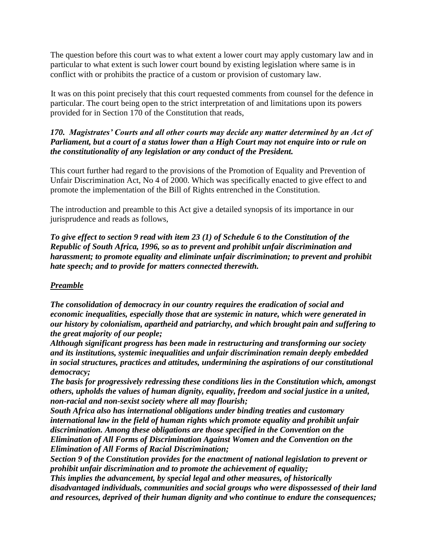The question before this court was to what extent a lower court may apply customary law and in particular to what extent is such lower court bound by existing legislation where same is in conflict with or prohibits the practice of a custom or provision of customary law.

 It was on this point precisely that this court requested comments from counsel for the defence in particular. The court being open to the strict interpretation of and limitations upon its powers provided for in Section 170 of the Constitution that reads,

# *170. Magistrates' Courts and all other courts may decide any matter determined by an Act of Parliament, but a court of a status lower than a High Court may not enquire into or rule on the constitutionality of any legislation or any conduct of the President.*

This court further had regard to the provisions of the Promotion of Equality and Prevention of Unfair Discrimination Act, No 4 of 2000. Which was specifically enacted to give effect to and promote the implementation of the Bill of Rights entrenched in the Constitution.

The introduction and preamble to this Act give a detailed synopsis of its importance in our jurisprudence and reads as follows,

*To give effect to section 9 read with item 23 (1) of Schedule 6 to the Constitution of the Republic of South Africa, 1996, so as to prevent and prohibit unfair discrimination and harassment; to promote equality and eliminate unfair discrimination; to prevent and prohibit hate speech; and to provide for matters connected therewith.*

## *Preamble*

*The consolidation of democracy in our country requires the eradication of social and economic inequalities, especially those that are systemic in nature, which were generated in our history by colonialism, apartheid and patriarchy, and which brought pain and suffering to the great majority of our people;*

*Although significant progress has been made in restructuring and transforming our society and its institutions, systemic inequalities and unfair discrimination remain deeply embedded in social structures, practices and attitudes, undermining the aspirations of our constitutional democracy;*

*The basis for progressively redressing these conditions lies in the Constitution which, amongst others, upholds the values of human dignity, equality, freedom and social justice in a united, non-racial and non-sexist society where all may flourish;*

*South Africa also has international obligations under binding treaties and customary international law in the field of human rights which promote equality and prohibit unfair discrimination. Among these obligations are those specified in the Convention on the Elimination of All Forms of Discrimination Against Women and the Convention on the Elimination of All Forms of Racial Discrimination;*

*Section 9 of the Constitution provides for the enactment of national legislation to prevent or prohibit unfair discrimination and to promote the achievement of equality;*

*This implies the advancement, by special legal and other measures, of historically disadvantaged individuals, communities and social groups who were dispossessed of their land and resources, deprived of their human dignity and who continue to endure the consequences;*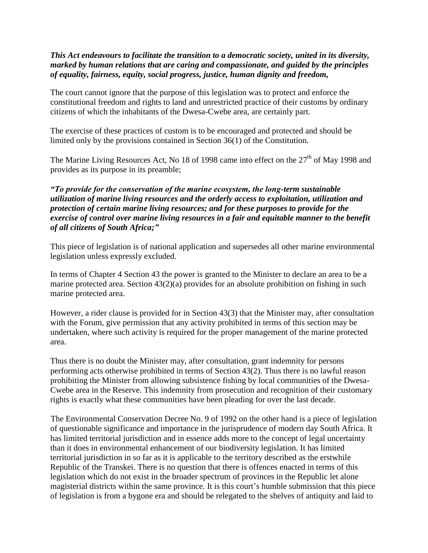#### *This Act endeavours to facilitate the transition to a democratic society, united in its diversity, marked by human relations that are caring and compassionate, and guided by the principles of equality, fairness, equity, social progress, justice, human dignity and freedom,*

The court cannot ignore that the purpose of this legislation was to protect and enforce the constitutional freedom and rights to land and unrestricted practice of their customs by ordinary citizens of which the inhabitants of the Dwesa-Cwebe area, are certainly part.

The exercise of these practices of custom is to be encouraged and protected and should be limited only by the provisions contained in Section 36(1) of the Constitution.

The Marine Living Resources Act, No 18 of 1998 came into effect on the  $27<sup>th</sup>$  of May 1998 and provides as its purpose in its preamble;

## *"To provide for the conservation of the marine ecosystem, the long-term sustainable utilization of marine living resources and the orderly access to exploitation, utilization and protection of certain marine living resources; and for these purposes to provide for the exercise of control over marine living resources in a fair and equitable manner to the benefit of all citizens of South Africa;"*

This piece of legislation is of national application and supersedes all other marine environmental legislation unless expressly excluded.

In terms of Chapter 4 Section 43 the power is granted to the Minister to declare an area to be a marine protected area. Section 43(2)(a) provides for an absolute prohibition on fishing in such marine protected area.

However, a rider clause is provided for in Section 43(3) that the Minister may, after consultation with the Forum, give permission that any activity prohibited in terms of this section may be undertaken, where such activity is required for the proper management of the marine protected area.

Thus there is no doubt the Minister may, after consultation, grant indemnity for persons performing acts otherwise prohibited in terms of Section 43(2). Thus there is no lawful reason prohibiting the Minister from allowing subsistence fishing by local communities of the Dwesa-Cwebe area in the Reserve. This indemnity from prosecution and recognition of their customary rights is exactly what these communities have been pleading for over the last decade.

 The Environmental Conservation Decree No. 9 of 1992 on the other hand is a piece of legislation of questionable significance and importance in the jurisprudence of modern day South Africa. It has limited territorial jurisdiction and in essence adds more to the concept of legal uncertainty than it does in environmental enhancement of our biodiversity legislation. It has limited territorial jurisdiction in so far as it is applicable to the territory described as the erstwhile Republic of the Transkei. There is no question that there is offences enacted in terms of this legislation which do not exist in the broader spectrum of provinces in the Republic let alone magisterial districts within the same province. It is this court's humble submission that this piece of legislation is from a bygone era and should be relegated to the shelves of antiquity and laid to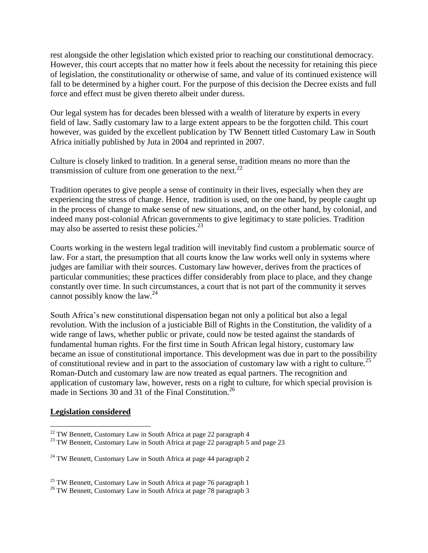rest alongside the other legislation which existed prior to reaching our constitutional democracy. However, this court accepts that no matter how it feels about the necessity for retaining this piece of legislation, the constitutionality or otherwise of same, and value of its continued existence will fall to be determined by a higher court. For the purpose of this decision the Decree exists and full force and effect must be given thereto albeit under duress.

Our legal system has for decades been blessed with a wealth of literature by experts in every field of law. Sadly customary law to a large extent appears to be the forgotten child. This court however, was guided by the excellent publication by TW Bennett titled Customary Law in South Africa initially published by Juta in 2004 and reprinted in 2007.

Culture is closely linked to tradition. In a general sense, tradition means no more than the transmission of culture from one generation to the next.<sup>22</sup>

Tradition operates to give people a sense of continuity in their lives, especially when they are experiencing the stress of change. Hence, tradition is used, on the one hand, by people caught up in the process of change to make sense of new situations, and, on the other hand, by colonial, and indeed many post-colonial African governments to give legitimacy to state policies. Tradition may also be asserted to resist these policies. $^{23}$ 

Courts working in the western legal tradition will inevitably find custom a problematic source of law. For a start, the presumption that all courts know the law works well only in systems where judges are familiar with their sources. Customary law however, derives from the practices of particular communities; these practices differ considerably from place to place, and they change constantly over time. In such circumstances, a court that is not part of the community it serves cannot possibly know the law. $^{24}$ 

South Africa's new constitutional dispensation began not only a political but also a legal revolution. With the inclusion of a justiciable Bill of Rights in the Constitution, the validity of a wide range of laws, whether public or private, could now be tested against the standards of fundamental human rights. For the first time in South African legal history, customary law became an issue of constitutional importance. This development was due in part to the possibility of constitutional review and in part to the association of customary law with a right to culture.<sup>25</sup> Roman-Dutch and customary law are now treated as equal partners. The recognition and application of customary law, however, rests on a right to culture, for which special provision is made in Sections 30 and 31 of the Final Constitution.<sup>26</sup>

#### **Legislation considered**

<sup>&</sup>lt;sup>22</sup> TW Bennett, Customary Law in South Africa at page 22 paragraph 4

<sup>&</sup>lt;sup>23</sup> TW Bennett, Customary Law in South Africa at page 22 paragraph 5 and page 23

 $24$  TW Bennett, Customary Law in South Africa at page 44 paragraph 2

 $25$  TW Bennett, Customary Law in South Africa at page 76 paragraph 1

<sup>&</sup>lt;sup>26</sup> TW Bennett, Customary Law in South Africa at page 78 paragraph 3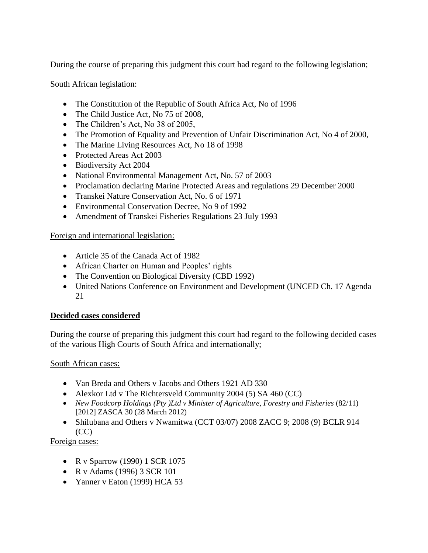During the course of preparing this judgment this court had regard to the following legislation;

South African legislation:

- The Constitution of the Republic of South Africa Act, No of 1996
- The Child Justice Act, No 75 of 2008,
- The Children's Act, No 38 of 2005,
- The Promotion of Equality and Prevention of Unfair Discrimination Act, No 4 of 2000,
- The Marine Living Resources Act, No 18 of 1998
- Protected Areas Act 2003
- Biodiversity Act 2004
- National Environmental Management Act, No. 57 of 2003
- Proclamation declaring Marine Protected Areas and regulations 29 December 2000
- Transkei Nature Conservation Act, No. 6 of 1971
- Environmental Conservation Decree, No 9 of 1992
- Amendment of Transkei Fisheries Regulations 23 July 1993

#### Foreign and international legislation:

- Article 35 of the Canada Act of 1982
- African Charter on Human and Peoples' rights
- The Convention on Biological Diversity (CBD 1992)
- United Nations Conference on Environment and Development (UNCED Ch. 17 Agenda 21

## **Decided cases considered**

During the course of preparing this judgment this court had regard to the following decided cases of the various High Courts of South Africa and internationally;

#### South African cases:

- Van Breda and Others v Jacobs and Others 1921 AD 330
- Alexkor Ltd v The Richtersveld Community 2004 (5) SA 460 (CC)
- New Foodcorp Holdings (Pty )Ltd v Minister of Agriculture, Forestry and Fisheries (82/11) [2012] ZASCA 30 (28 March 2012)
- Shilubana and Others v Nwamitwa (CCT 03/07) 2008 ZACC 9; 2008 (9) BCLR 914  $(CC)$

Foreign cases:

- R v Sparrow (1990) 1 SCR 1075
- R v Adams (1996) 3 SCR 101
- Yanner v Eaton (1999) HCA 53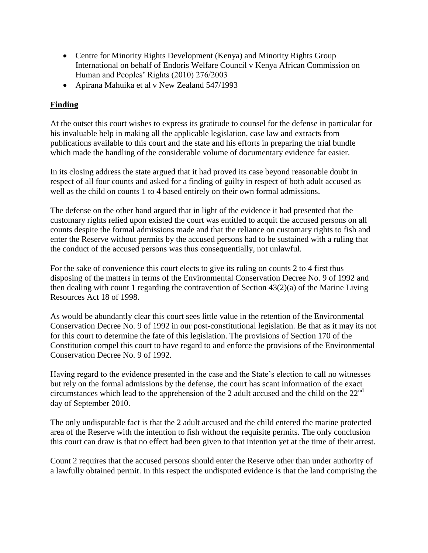- Centre for Minority Rights Development (Kenya) and Minority Rights Group International on behalf of Endoris Welfare Council v Kenya African Commission on Human and Peoples' Rights (2010) 276/2003
- Apirana Mahuika et al v New Zealand 547/1993

# **Finding**

At the outset this court wishes to express its gratitude to counsel for the defense in particular for his invaluable help in making all the applicable legislation, case law and extracts from publications available to this court and the state and his efforts in preparing the trial bundle which made the handling of the considerable volume of documentary evidence far easier.

In its closing address the state argued that it had proved its case beyond reasonable doubt in respect of all four counts and asked for a finding of guilty in respect of both adult accused as well as the child on counts 1 to 4 based entirely on their own formal admissions.

The defense on the other hand argued that in light of the evidence it had presented that the customary rights relied upon existed the court was entitled to acquit the accused persons on all counts despite the formal admissions made and that the reliance on customary rights to fish and enter the Reserve without permits by the accused persons had to be sustained with a ruling that the conduct of the accused persons was thus consequentially, not unlawful.

For the sake of convenience this court elects to give its ruling on counts 2 to 4 first thus disposing of the matters in terms of the Environmental Conservation Decree No. 9 of 1992 and then dealing with count 1 regarding the contravention of Section 43(2)(a) of the Marine Living Resources Act 18 of 1998.

As would be abundantly clear this court sees little value in the retention of the Environmental Conservation Decree No. 9 of 1992 in our post-constitutional legislation. Be that as it may its not for this court to determine the fate of this legislation. The provisions of Section 170 of the Constitution compel this court to have regard to and enforce the provisions of the Environmental Conservation Decree No. 9 of 1992.

Having regard to the evidence presented in the case and the State's election to call no witnesses but rely on the formal admissions by the defense, the court has scant information of the exact circumstances which lead to the apprehension of the 2 adult accused and the child on the  $22<sup>nd</sup>$ day of September 2010.

The only undisputable fact is that the 2 adult accused and the child entered the marine protected area of the Reserve with the intention to fish without the requisite permits. The only conclusion this court can draw is that no effect had been given to that intention yet at the time of their arrest.

Count 2 requires that the accused persons should enter the Reserve other than under authority of a lawfully obtained permit. In this respect the undisputed evidence is that the land comprising the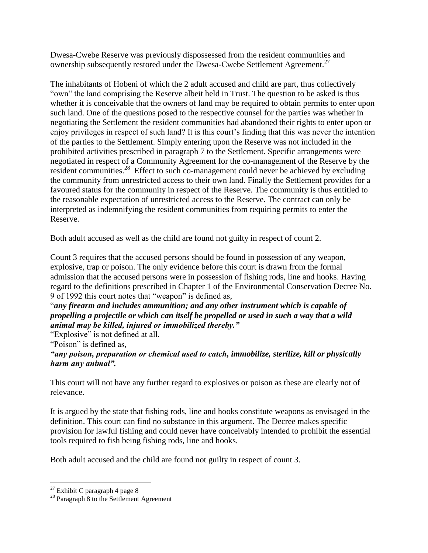Dwesa-Cwebe Reserve was previously dispossessed from the resident communities and ownership subsequently restored under the Dwesa-Cwebe Settlement Agreement.<sup>27</sup>

The inhabitants of Hobeni of which the 2 adult accused and child are part, thus collectively "own" the land comprising the Reserve albeit held in Trust. The question to be asked is thus whether it is conceivable that the owners of land may be required to obtain permits to enter upon such land. One of the questions posed to the respective counsel for the parties was whether in negotiating the Settlement the resident communities had abandoned their rights to enter upon or enjoy privileges in respect of such land? It is this court's finding that this was never the intention of the parties to the Settlement. Simply entering upon the Reserve was not included in the prohibited activities prescribed in paragraph 7 to the Settlement. Specific arrangements were negotiated in respect of a Community Agreement for the co-management of the Reserve by the resident communities.<sup>28</sup> Effect to such co-management could never be achieved by excluding the community from unrestricted access to their own land. Finally the Settlement provides for a favoured status for the community in respect of the Reserve. The community is thus entitled to the reasonable expectation of unrestricted access to the Reserve. The contract can only be interpreted as indemnifying the resident communities from requiring permits to enter the Reserve.

Both adult accused as well as the child are found not guilty in respect of count 2.

Count 3 requires that the accused persons should be found in possession of any weapon, explosive, trap or poison. The only evidence before this court is drawn from the formal admission that the accused persons were in possession of fishing rods, line and hooks. Having regard to the definitions prescribed in Chapter 1 of the Environmental Conservation Decree No. 9 of 1992 this court notes that "weapon" is defined as,

"*any firearm and includes ammunition; and any other instrument which is capable of propelling a projectile or which can itself be propelled or used in such a way that a wild animal may be killed, injured or immobilized thereby."* 

"Explosive" is not defined at all.

"Poison" is defined as,

*"any poison, preparation or chemical used to catch, immobilize, sterilize, kill or physically harm any animal".*

This court will not have any further regard to explosives or poison as these are clearly not of relevance.

It is argued by the state that fishing rods, line and hooks constitute weapons as envisaged in the definition. This court can find no substance in this argument. The Decree makes specific provision for lawful fishing and could never have conceivably intended to prohibit the essential tools required to fish being fishing rods, line and hooks.

Both adult accused and the child are found not guilty in respect of count 3.

 $27$  Exhibit C paragraph 4 page 8

<sup>28</sup> Paragraph 8 to the Settlement Agreement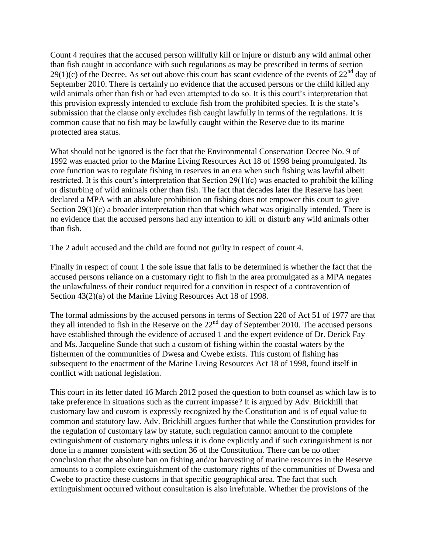Count 4 requires that the accused person willfully kill or injure or disturb any wild animal other than fish caught in accordance with such regulations as may be prescribed in terms of section 29(1)(c) of the Decree. As set out above this court has scant evidence of the events of  $22<sup>nd</sup>$  day of September 2010. There is certainly no evidence that the accused persons or the child killed any wild animals other than fish or had even attempted to do so. It is this court's interpretation that this provision expressly intended to exclude fish from the prohibited species. It is the state's submission that the clause only excludes fish caught lawfully in terms of the regulations. It is common cause that no fish may be lawfully caught within the Reserve due to its marine protected area status.

What should not be ignored is the fact that the Environmental Conservation Decree No. 9 of 1992 was enacted prior to the Marine Living Resources Act 18 of 1998 being promulgated. Its core function was to regulate fishing in reserves in an era when such fishing was lawful albeit restricted. It is this court's interpretation that Section 29(1)(c) was enacted to prohibit the killing or disturbing of wild animals other than fish. The fact that decades later the Reserve has been declared a MPA with an absolute prohibition on fishing does not empower this court to give Section 29(1)(c) a broader interpretation than that which what was originally intended. There is no evidence that the accused persons had any intention to kill or disturb any wild animals other than fish.

The 2 adult accused and the child are found not guilty in respect of count 4.

Finally in respect of count 1 the sole issue that falls to be determined is whether the fact that the accused persons reliance on a customary right to fish in the area promulgated as a MPA negates the unlawfulness of their conduct required for a convition in respect of a contravention of Section  $43(2)(a)$  of the Marine Living Resources Act 18 of 1998.

The formal admissions by the accused persons in terms of Section 220 of Act 51 of 1977 are that they all intended to fish in the Reserve on the  $22<sup>nd</sup>$  day of September 2010. The accused persons have established through the evidence of accused 1 and the expert evidence of Dr. Derick Fay and Ms. Jacqueline Sunde that such a custom of fishing within the coastal waters by the fishermen of the communities of Dwesa and Cwebe exists. This custom of fishing has subsequent to the enactment of the Marine Living Resources Act 18 of 1998, found itself in conflict with national legislation.

This court in its letter dated 16 March 2012 posed the question to both counsel as which law is to take preference in situations such as the current impasse? It is argued by Adv. Brickhill that customary law and custom is expressly recognized by the Constitution and is of equal value to common and statutory law. Adv. Brickhill argues further that while the Constitution provides for the regulation of customary law by statute, such regulation cannot amount to the complete extinguishment of customary rights unless it is done explicitly and if such extinguishment is not done in a manner consistent with section 36 of the Constitution. There can be no other conclusion that the absolute ban on fishing and/or harvesting of marine resources in the Reserve amounts to a complete extinguishment of the customary rights of the communities of Dwesa and Cwebe to practice these customs in that specific geographical area. The fact that such extinguishment occurred without consultation is also irrefutable. Whether the provisions of the